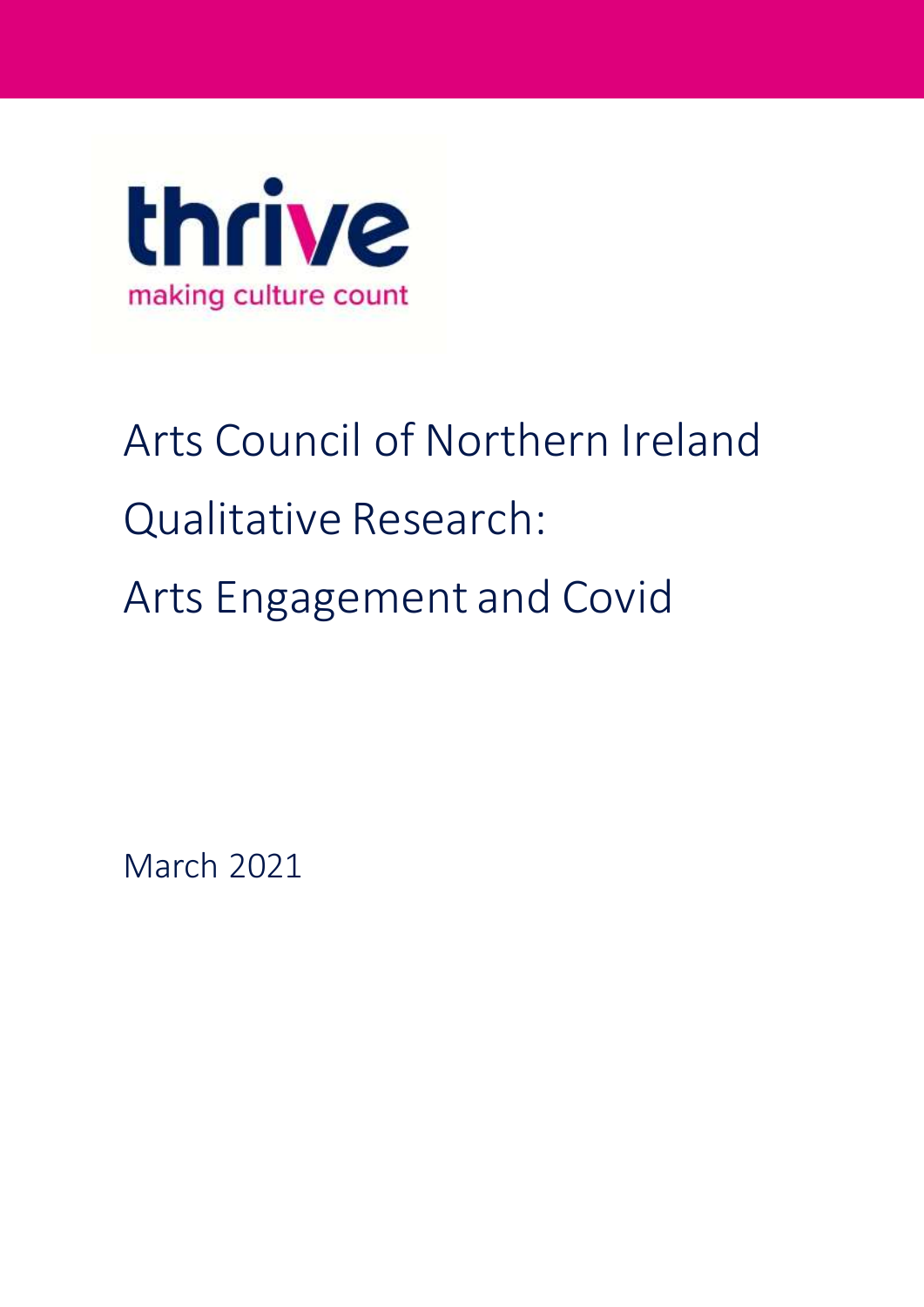

# Arts Council of Northern Ireland Qualitative Research: Arts Engagement and Covid

March 2021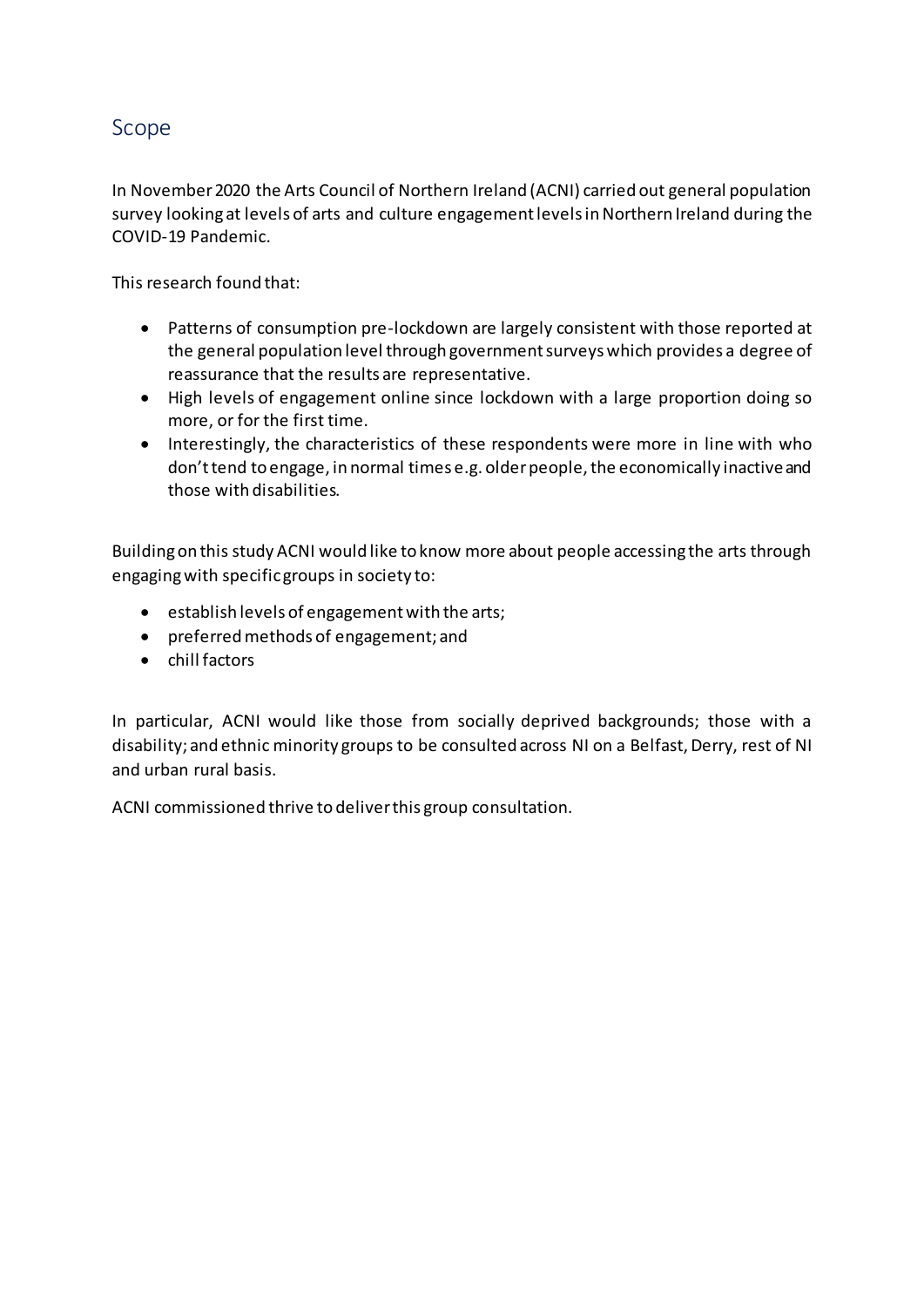### Scope

In November 2020 the Arts Council of Northern Ireland (ACNI) carried out general population survey looking at levels of arts and culture engagement levels in Northern Ireland during the COVID-19 Pandemic.

This research found that:

- Patterns of consumption pre-lockdown are largely consistent with those reported at the general population level through government surveys which provides a degree of reassurance that the results are representative.
- High levels of engagement online since lockdown with a large proportion doing so more, or for the first time.
- Interestingly, the characteristics of these respondents were more in line with who don't tend to engage, in normal times e.g. older people, the economically inactive and those with disabilities.

Building on this study ACNI would like to know more about people accessing the arts through engaging with specific groups in society to:

- $\bullet$  establish levels of engagement with the arts;
- preferred methods of engagement; and
- $\bullet$  chill factors

In particular, ACNI would like those from socially deprived backgrounds; those with a disability; and ethnic minority groups to be consulted across NI on a Belfast, Derry, rest of NI and urban rural basis.

ACNI commissioned thrive to deliver this group consultation.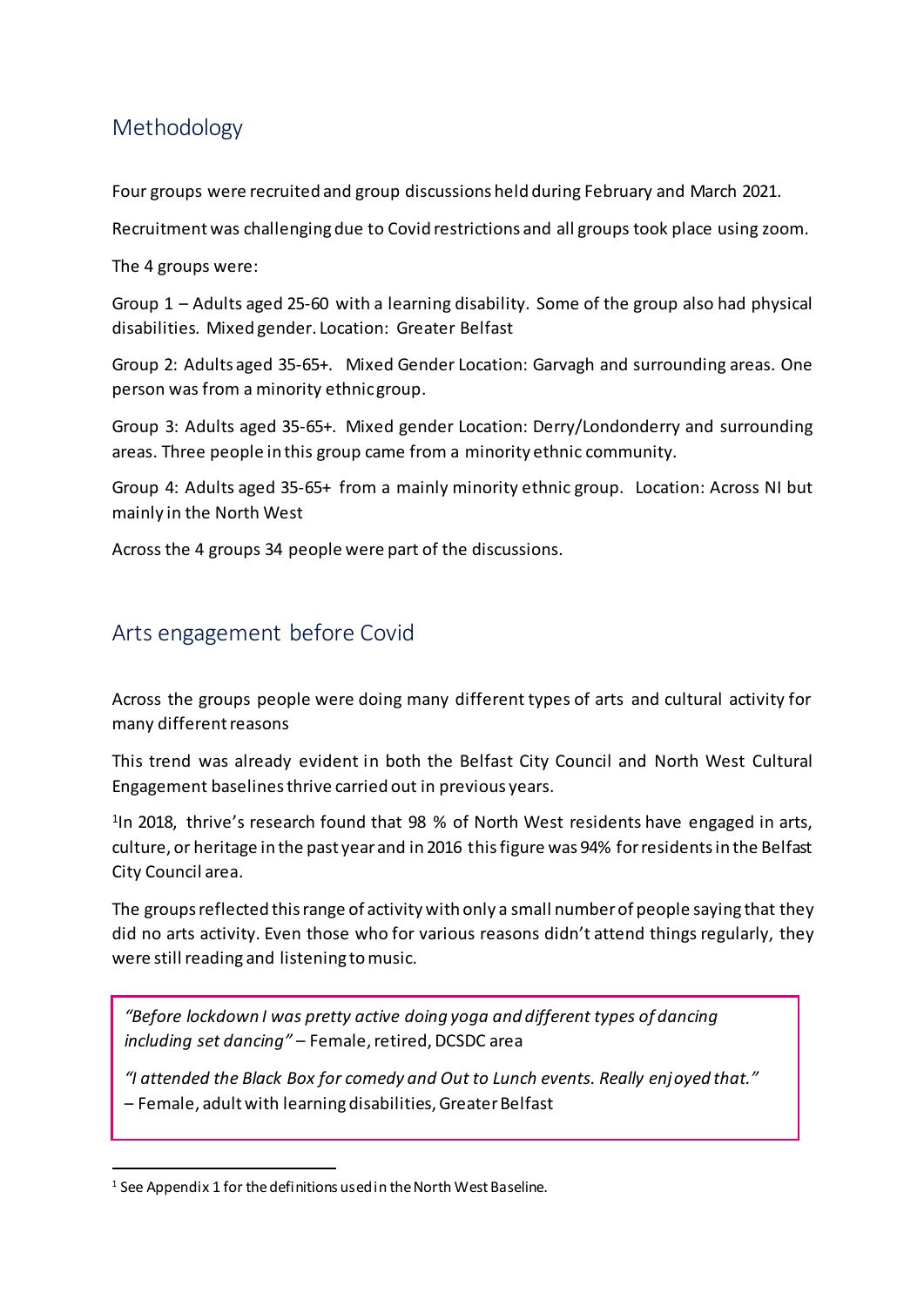# Methodology

Four groups were recruited and group discussions held during February and March 2021.

Recruitment was challenging due to Covid restrictions and all groups took place using zoom.

The 4 groups were:

Group 1 – Adults aged 25-60 with a learning disability. Some of the group also had physical disabilities. Mixed gender. Location: Greater Belfast

Group 2: Adults aged 35-65+. Mixed Gender Location: Garvagh and surrounding areas. One person was from a minority ethnic group.

Group 3: Adults aged 35-65+. Mixed gender Location: Derry/Londonderry and surrounding areas. Three people in this group came from a minority ethnic community.

Group 4: Adults aged 35-65+ from a mainly minority ethnic group. Location: Across NI but mainly in the North West

Across the 4 groups 34 people were part of the discussions.

# Arts engagement before Covid

Across the groups people were doing many different types of arts and cultural activity for many different reasons

This trend was already evident in both the Belfast City Council and North West Cultural Engagement baselines thrive carried out in previous years.

<sup>1</sup>In 2018, thrive's research found that 98 % of North West residents have engaged in arts, culture, or heritage in the past year and in 2016 this figure was 94% for residents in the Belfast City Council area.

The groups reflected this range of activity with only a small number of people saying that they did no arts activity. Even those who for various reasons didn't attend things regularly, they were still reading and listening to music.

*"Before lockdown I was pretty active doing yoga and different types of dancing including set dancing" –* Female, retired, DCSDC area

*"I attended the Black Box for comedy and Out to Lunch events. Really enjoyed that."* – Female, adult with learning disabilities, Greater Belfast

1

<sup>&</sup>lt;sup>1</sup> See Appendix 1 for the definitions used in the North West Baseline.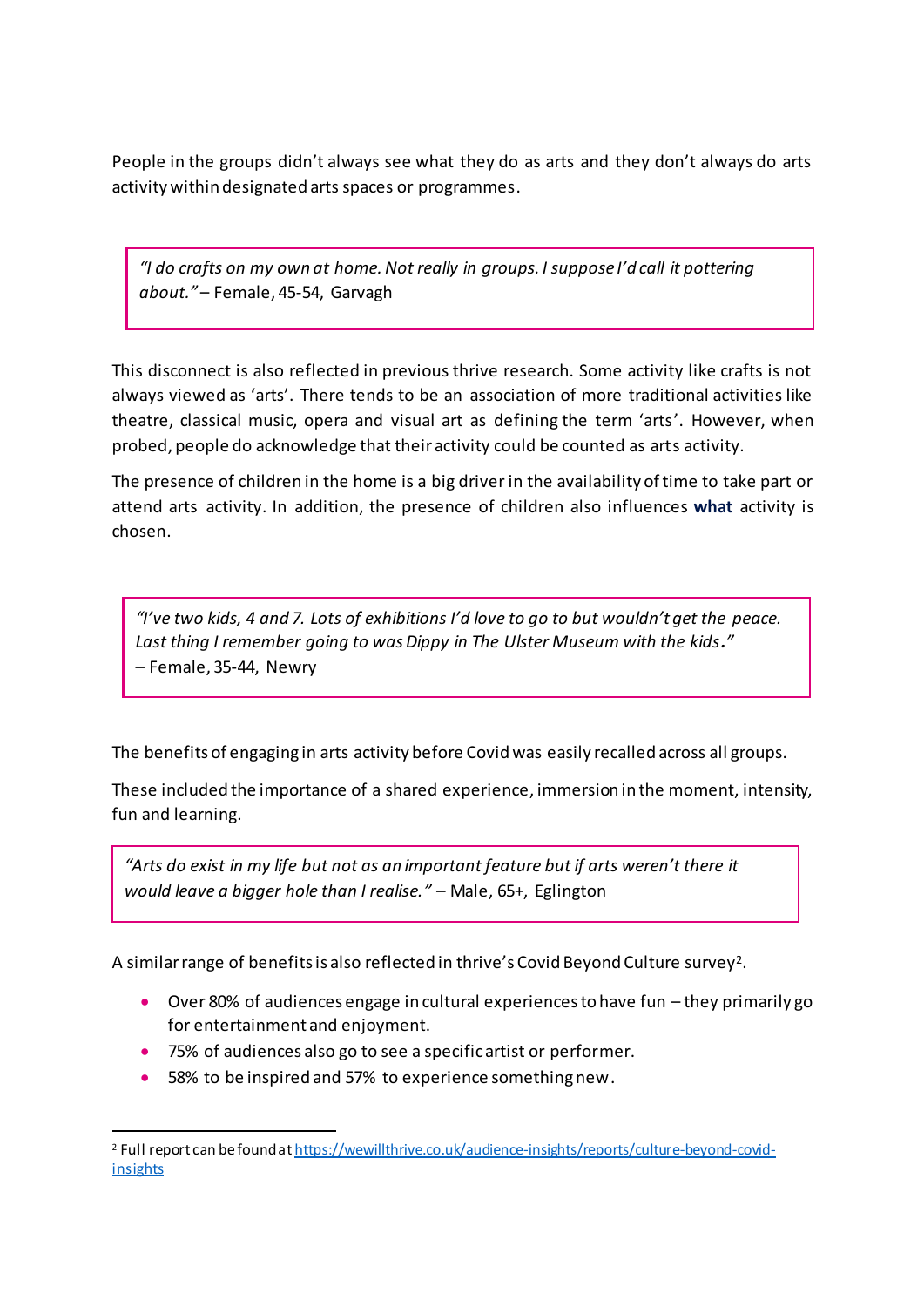People in the groups didn't always see what they do as arts and they don't always do arts activity within designated arts spaces or programmes.

*"I do crafts on my own at home. Not really in groups. I suppose I'd call it pottering about."* – Female, 45-54, Garvagh

This disconnect is also reflected in previous thrive research. Some activity like crafts is not always viewed as 'arts'. There tends to be an association of more traditional activities like theatre, classical music, opera and visual art as defining the term 'arts'. However, when probed, people do acknowledge that their activity could be counted as arts activity.

The presence of children in the home is a big driver in the availability of time to take part or attend arts activity. In addition, the presence of children also influences **what** activity is chosen.

"I've two kids, 4 and 7. Lots of exhibitions I'd love to go to but wouldn't get the peace. *Last thing I remember going to was Dippy in The Ulster Museum with the kids."* – Female, 35-44, Newry

The benefits of engaging in arts activity before Covid was easily recalled across all groups.

These included the importance of a shared experience, immersion in the moment, intensity, fun and learning.

*"Arts do exist in my life but not as an important feature but if arts weren't there it would leave a bigger hole than I realise."* – Male, 65+, Eglington

A similar range of benefits is also reflected in thrive's Covid Beyond Culture survey<sup>2</sup>.

- Over 80% of audiences engage in cultural experiences to have fun they primarily go for entertainment and enjoyment.
- 75% of audiences also go to see a specific artist or performer.
- 58% to be inspired and 57% to experience something new.

 $\overline{a}$ 

<sup>2</sup> Full report can be found a[t https://wewillthrive.co.uk/audience-insights/reports/culture-beyond-covid](https://wewillthrive.co.uk/audience-insights/reports/culture-beyond-covid-insights)[insights](https://wewillthrive.co.uk/audience-insights/reports/culture-beyond-covid-insights)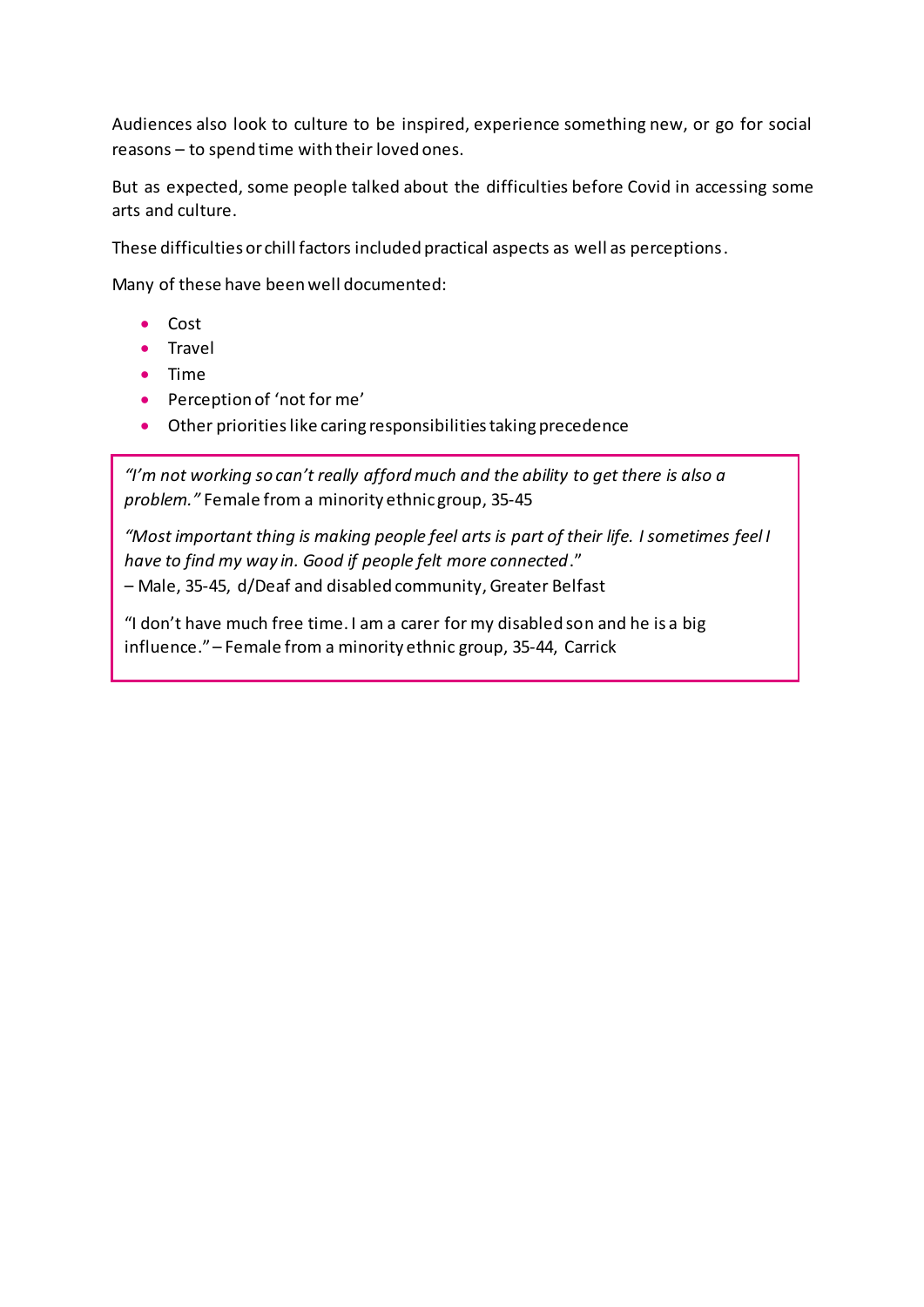Audiences also look to culture to be inspired, experience something new, or go for social reasons – to spend time with their loved ones.

But as expected, some people talked about the difficulties before Covid in accessing some arts and culture.

These difficulties or chill factors included practical aspects as well as perceptions.

Many of these have been well documented:

- Cost
- Travel
- Time
- Perception of 'not for me'
- Other prioritieslike caring responsibilities taking precedence

*"I'm not working so can't really afford much and the ability to get there is also a problem."* Female from a minority ethnic group, 35-45

*"Most important thing is making people feel arts is part of their life. I sometimes feel I have to find my way in. Good if people felt more connected*." – Male, 35-45, d/Deaf and disabled community, Greater Belfast

"I don't have much free time. I am a carer for my disabled son and he is a big influence." – Female from a minority ethnic group, 35-44, Carrick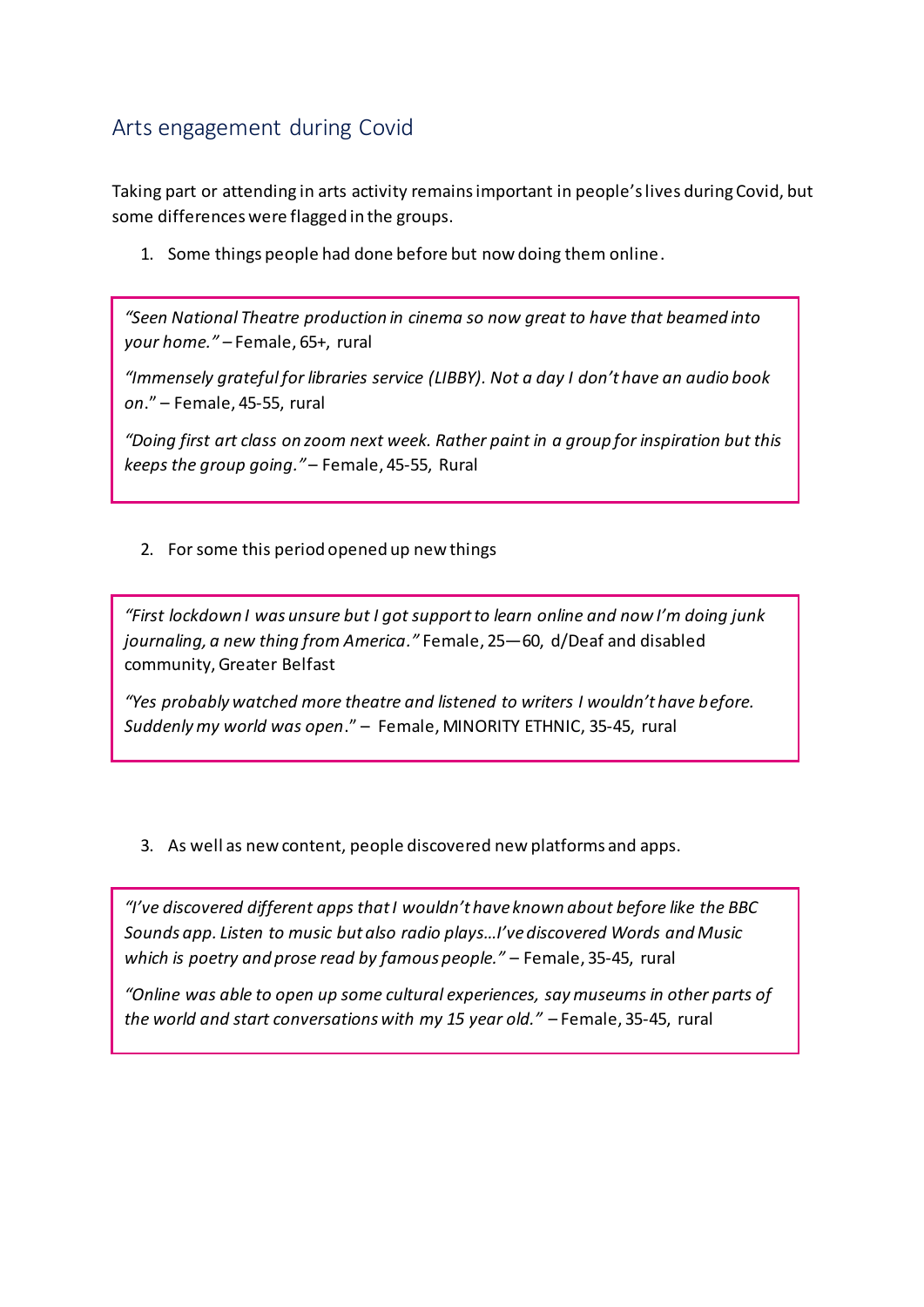# Arts engagement during Covid

Taking part or attending in arts activity remains important in people's lives during Covid, but some differences were flagged in the groups.

1. Some things people had done before but now doing them online.

*"Seen National Theatre production in cinema so now great to have that beamed into your home." –* Female, 65+, rural

*"Immensely grateful for libraries service (LIBBY). Not a day I don't have an audio book on*." – Female, 45-55, rural

*"Doing first art class on zoom next week. Rather paint in a group for inspiration but this keeps the group going."* – Female, 45-55, Rural

2. For some this period opened up new things

*"First lockdown I was unsure but I got support to learn online and now I'm doing junk journaling, a new thing from America."* Female, 25—60, d/Deaf and disabled community, Greater Belfast

*"Yes probably watched more theatre and listened to writers I wouldn't have before. Suddenly my world was open*." – Female, MINORITY ETHNIC, 35-45, rural

3. As well as new content, people discovered new platforms and apps.

*"I've discovered different apps that I wouldn't have known about before like the BBC Sounds app. Listen to music but also radio plays…I've discovered Words and Music which is poetry and prose read by famous people."* – Female, 35-45, rural

*"Online was able to open up some cultural experiences, say museums in other parts of the world and start conversations with my 15 year old."* – Female, 35-45, rural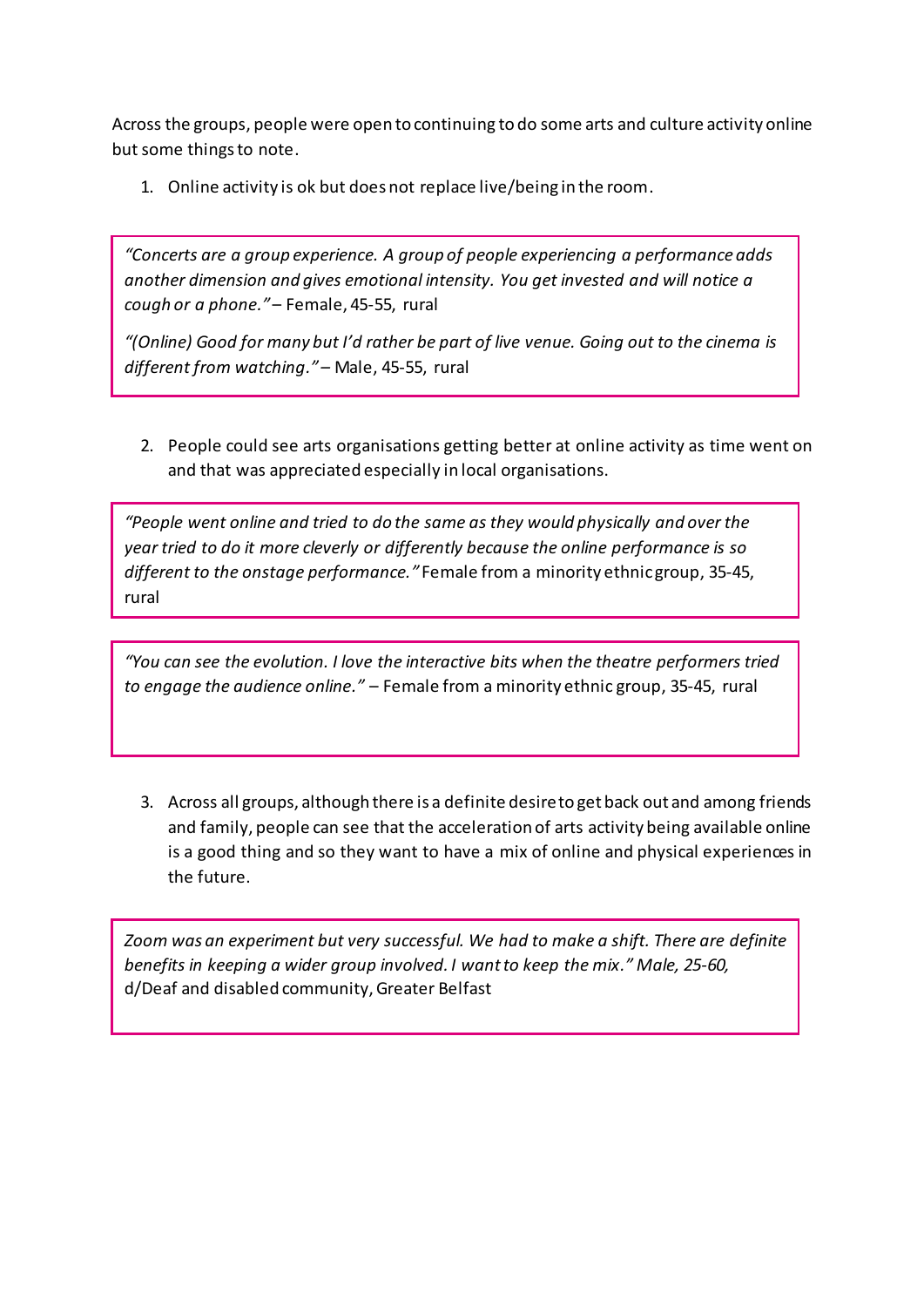Across the groups, people were open to continuing to do some arts and culture activity online but some things to note.

1. Online activity is ok but does not replace live/being in the room.

*"Concerts are a group experience. A group of people experiencing a performance adds another dimension and gives emotional intensity. You get invested and will notice a cough or a phone."* – Female, 45-55, rural

*"(Online) Good for many but I'd rather be part of live venue. Going out to the cinema is different from watching."–* Male, 45-55, rural

2. People could see arts organisations getting better at online activity as time went on and that was appreciated especially in local organisations.

*"People went online and tried to do the same as they would physically and over the year tried to do it more cleverly or differently because the online performance is so different to the onstage performance."* Female from a minority ethnic group, 35-45, rural

*"You can see the evolution. I love the interactive bits when the theatre performers tried to engage the audience online."* – Female from a minority ethnic group, 35-45, rural

3. Across all groups, although there is a definite desire to get back out and among friends and family, people can see that the acceleration of arts activity being available online is a good thing and so they want to have a mix of online and physical experiences in the future.

*Zoom was an experiment but very successful. We had to make a shift. There are definite benefits in keeping a wider group involved. I want to keep the mix." Male, 25-60,*  d/Deaf and disabled community, Greater Belfast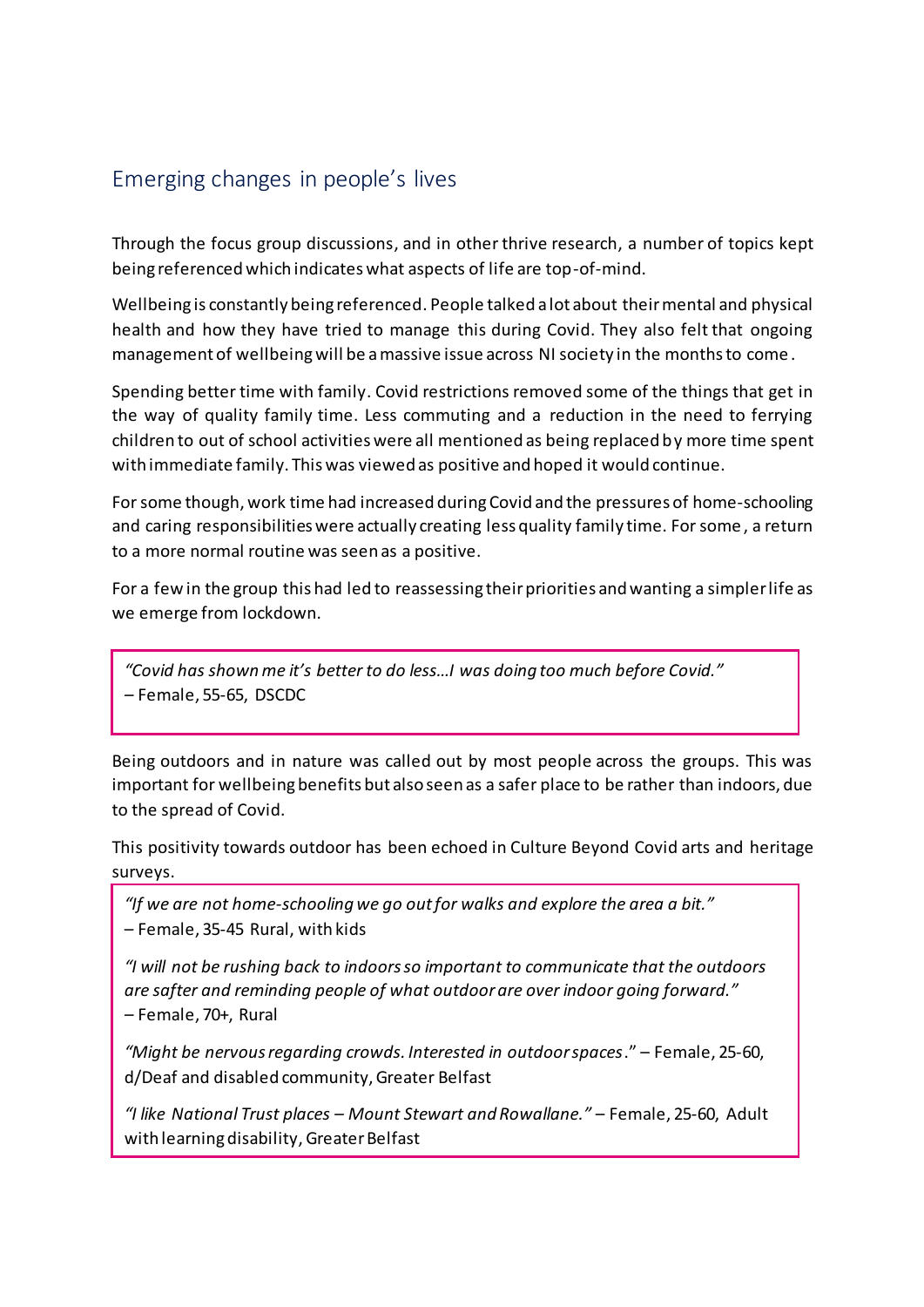# Emerging changes in people's lives

Through the focus group discussions, and in other thrive research, a number of topics kept being referenced which indicates what aspects of life are top-of-mind.

Wellbeing is constantly being referenced. People talked a lot about their mental and physical health and how they have tried to manage this during Covid. They also felt that ongoing management of wellbeing will be a massive issue across NI society in the months to come .

Spending better time with family. Covid restrictions removed some of the things that get in the way of quality family time. Less commuting and a reduction in the need to ferrying children to out of school activities were all mentioned as being replaced by more time spent with immediate family. This was viewed as positive and hoped it would continue.

For some though, work time had increased during Covid and the pressures of home-schooling and caring responsibilities were actually creating less quality family time. For some , a return to a more normal routine was seen as a positive.

For a few in the group this had led to reassessing their priorities and wanting a simpler life as we emerge from lockdown.

*"Covid has shown me it's better to do less…I was doing too much before Covid." –* Female, 55-65, DSCDC

Being outdoors and in nature was called out by most people across the groups. This was important for wellbeing benefits but also seen as a safer place to be rather than indoors, due to the spread of Covid.

This positivity towards outdoor has been echoed in Culture Beyond Covid arts and heritage surveys.

*"If we are not home-schooling we go out for walks and explore the area a bit."* – Female, 35-45 Rural, with kids

*"I will not be rushing back to indoors so important to communicate that the outdoors are safter and reminding people of what outdoor are over indoor going forward." –* Female, 70+, Rural

*"Might be nervous regarding crowds. Interested in outdoor spaces*." – Female, 25-60, d/Deaf and disabled community, Greater Belfast

*"I like National Trust places – Mount Stewart and Rowallane."* – Female, 25-60, Adult with learning disability, Greater Belfast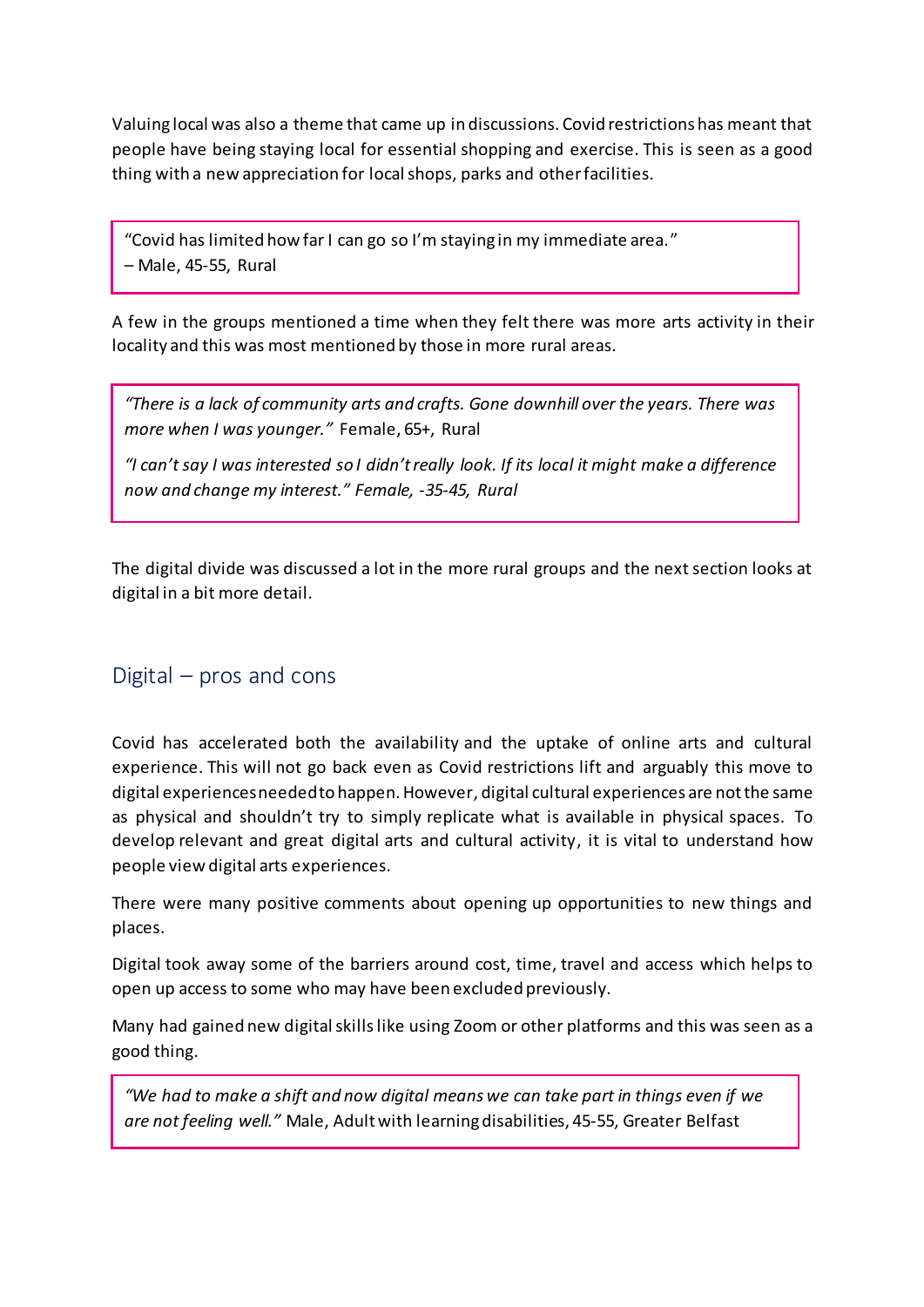Valuing local was also a theme that came up in discussions. Covid restrictions has meant that people have being staying local for essential shopping and exercise. This is seen as a good thing with a new appreciation for local shops, parks and other facilities.

"Covid has limited how far I can go so I'm staying in my immediate area." – Male, 45-55, Rural

A few in the groups mentioned a time when they felt there was more arts activity in their locality and this was most mentioned by those in more rural areas.

*"There is a lack of community arts and crafts. Gone downhill over the years. There was more when I was younger."* Female, 65+, Rural

*"I can't say I was interested so I didn't really look. If its local it might make a difference now and change my interest." Female, -35-45, Rural*

The digital divide was discussed a lot in the more rural groups and the next section looks at digital in a bit more detail.

## Digital – pros and cons

Covid has accelerated both the availability and the uptake of online arts and cultural experience. This will not go back even as Covid restrictions lift and arguably this move to digital experiences needed to happen. However, digital cultural experiences are not the same as physical and shouldn't try to simply replicate what is available in physical spaces. To develop relevant and great digital arts and cultural activity, it is vital to understand how people view digital arts experiences.

There were many positive comments about opening up opportunities to new things and places.

Digital took away some of the barriers around cost, time, travel and access which helps to open up access to some who may have been excluded previously.

Many had gained new digital skills like using Zoom or other platforms and this was seen as a good thing.

*"We had to make a shift and now digital means we can take part in things even if we are not feeling well."* Male, Adult with learning disabilities, 45-55, Greater Belfast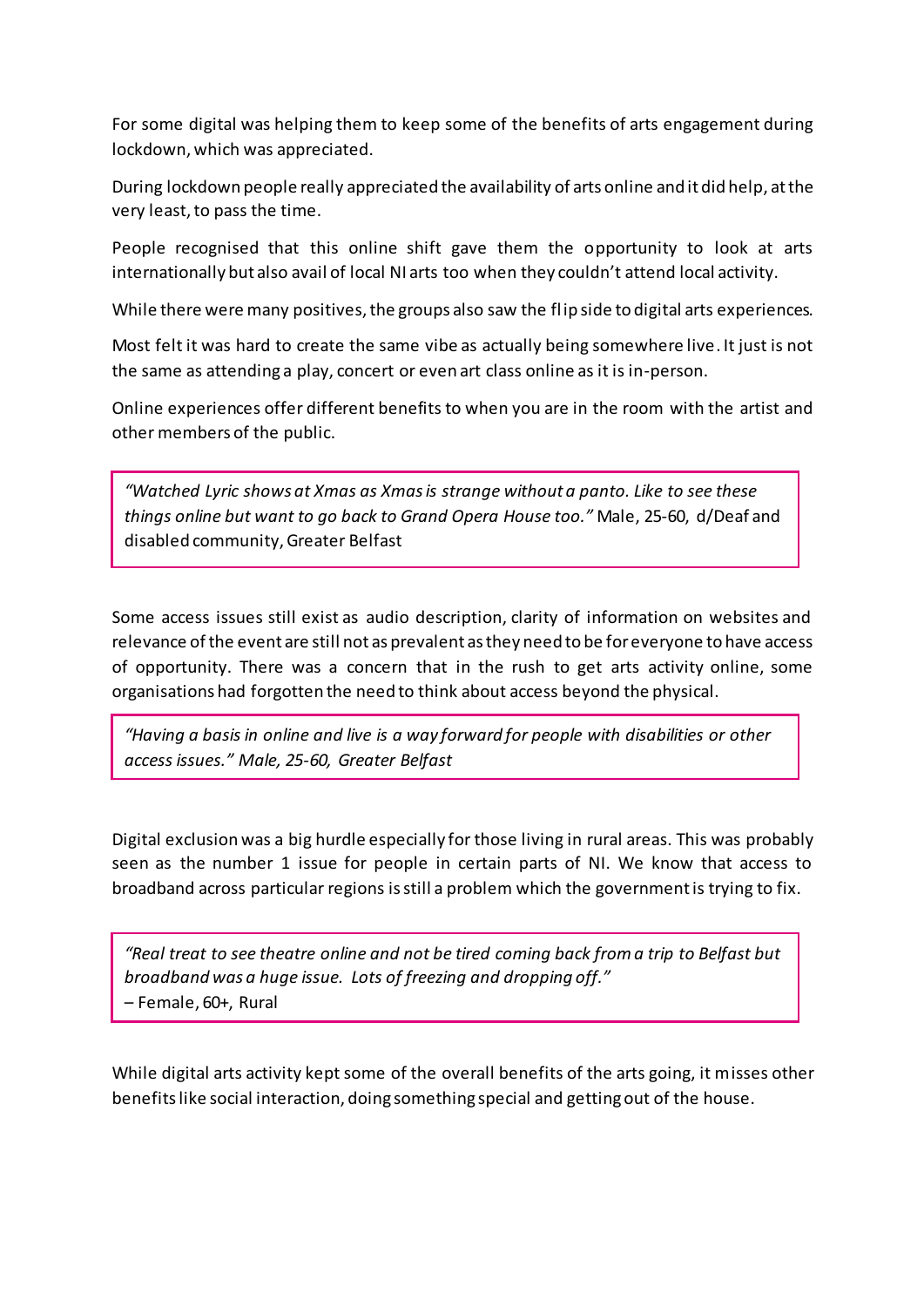For some digital was helping them to keep some of the benefits of arts engagement during lockdown, which was appreciated.

During lockdown people really appreciated the availability of arts online and it did help, at the very least, to pass the time.

People recognised that this online shift gave them the opportunity to look at arts internationally but also avail of local NI arts too when they couldn't attend local activity.

While there were many positives, the groups also saw the flip side to digital arts experiences.

Most felt it was hard to create the same vibe as actually being somewhere live. It just is not the same as attending a play, concert or even art class online as it is in-person.

Online experiences offer different benefits to when you are in the room with the artist and other members of the public.

*"Watched Lyric shows at Xmas as Xmas is strange without a panto. Like to see these things online but want to go back to Grand Opera House too."* Male, 25-60, d/Deaf and disabled community, Greater Belfast

Some access issues still exist as audio description, clarity of information on websites and relevance of the event are still not as prevalent as they need to be for everyone to have access of opportunity. There was a concern that in the rush to get arts activity online, some organisations had forgotten the need to think about access beyond the physical.

*"Having a basis in online and live is a way forward for people with disabilities or other access issues." Male, 25-60, Greater Belfast*

Digital exclusion was a big hurdle especially for those living in rural areas. This was probably seen as the number 1 issue for people in certain parts of NI. We know that access to broadband across particular regions is still a problem which the government is trying to fix.

*"Real treat to see theatre online and not be tired coming back from a trip to Belfast but broadband was a huge issue. Lots of freezing and dropping off."* – Female, 60+, Rural

While digital arts activity kept some of the overall benefits of the arts going, it misses other benefits like social interaction, doing something special and getting out of the house.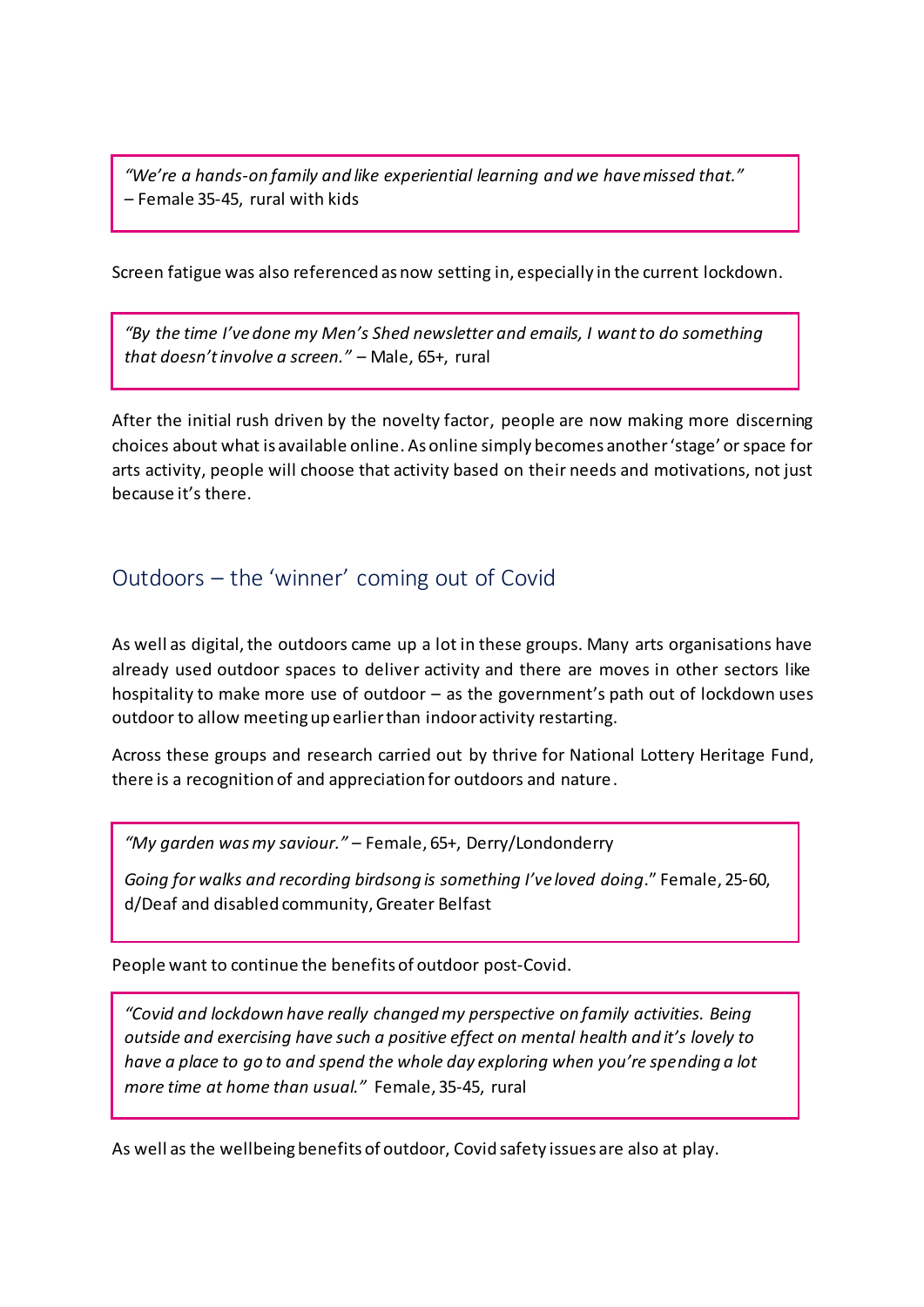*"We're a hands-on family and like experiential learning and we have missed that."* – Female 35-45, rural with kids

Screen fatigue was also referenced as now setting in, especially in the current lockdown.

*"By the time I've done my Men's Shed newsletter and emails, I want to do something that doesn't involve a screen."* – Male, 65+, rural

After the initial rush driven by the novelty factor, people are now making more discerning choices about what is available online. As online simply becomes another 'stage' or space for arts activity, people will choose that activity based on their needs and motivations, not just because it's there.

# Outdoors – the 'winner' coming out of Covid

As well as digital, the outdoors came up a lot in these groups. Many arts organisations have already used outdoor spaces to deliver activity and there are moves in other sectors like hospitality to make more use of outdoor – as the government's path out of lockdown uses outdoor to allow meeting up earlier than indoor activity restarting.

Across these groups and research carried out by thrive for National Lottery Heritage Fund, there is a recognition of and appreciation for outdoors and nature.

*"My garden was my saviour."* – Female, 65+, Derry/Londonderry

*Going for walks and recording birdsong is something I've loved doing*." Female, 25-60, d/Deaf and disabled community, Greater Belfast

People want to continue the benefits of outdoor post-Covid.

*"Covid and lockdown have really changed my perspective on family activities. Being outside and exercising have such a positive effect on mental health and it's lovely to have a place to go to and spend the whole day exploring when you're spending a lot more time at home than usual."* Female, 35-45, rural

As well as the wellbeing benefits of outdoor, Covid safety issues are also at play.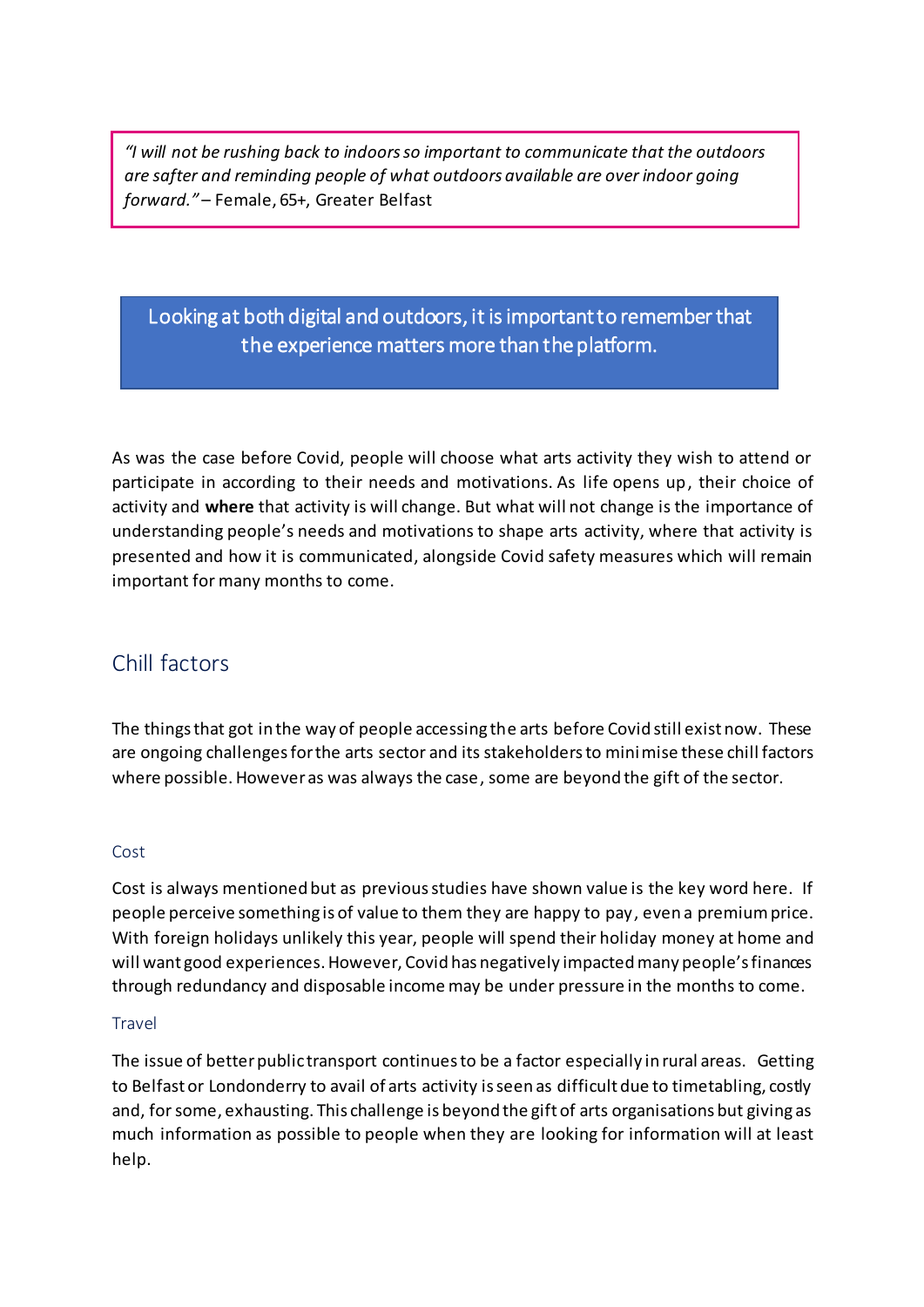*"I will not be rushing back to indoors so important to communicate that the outdoors are safter and reminding people of what outdoors available are over indoor going forward."* – Female, 65+, Greater Belfast

# Looking at both digital and outdoors, it is important to remember that the experience matters more than the platform.

As was the case before Covid, people will choose what arts activity they wish to attend or participate in according to their needs and motivations. As life opens up, their choice of activity and **where** that activity is will change. But what will not change is the importance of understanding people's needs and motivations to shape arts activity, where that activity is presented and how it is communicated, alongside Covid safety measures which will remain important for many months to come.

# Chill factors

The things that got in the way of people accessing the arts before Covid still exist now. These are ongoing challenges for the arts sector and its stakeholders to minimise these chill factors where possible. However as was always the case, some are beyond the gift of the sector.

#### Cost

Cost is always mentioned but as previousstudies have shown value is the key word here. If people perceive something is of value to them they are happy to pay, even a premium price. With foreign holidays unlikely this year, people will spend their holiday money at home and will want good experiences. However, Covid has negatively impacted many people's finances through redundancy and disposable income may be under pressure in the months to come.

#### **Travel**

The issue of better public transport continues to be a factor especially in rural areas. Getting to Belfast or Londonderry to avail of arts activity is seen as difficult due to timetabling, costly and, for some, exhausting. This challenge is beyond the gift of arts organisations but giving as much information as possible to people when they are looking for information will at least help.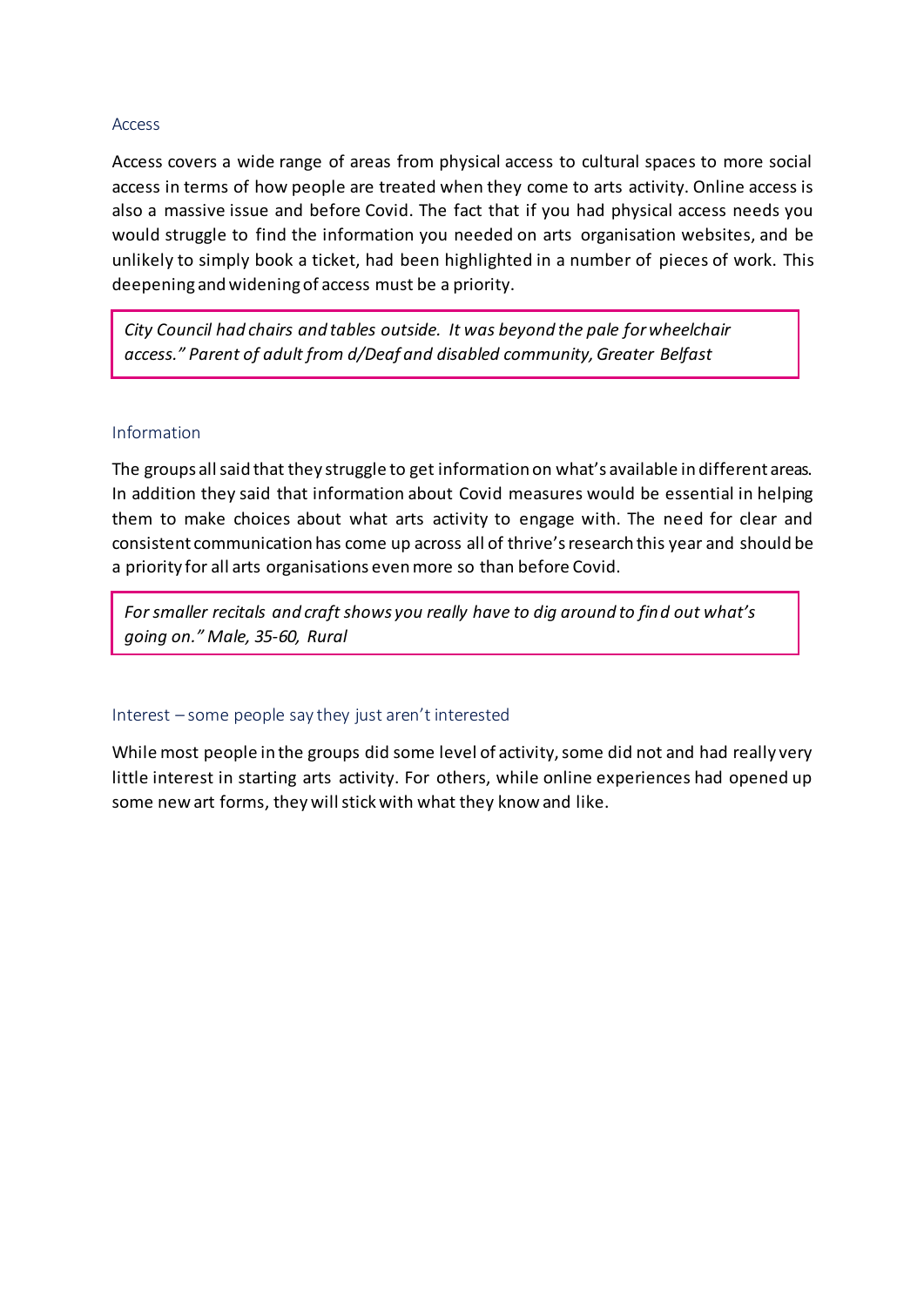#### Access

Access covers a wide range of areas from physical access to cultural spaces to more social access in terms of how people are treated when they come to arts activity. Online access is also a massive issue and before Covid. The fact that if you had physical access needs you would struggle to find the information you needed on arts organisation websites, and be unlikely to simply book a ticket, had been highlighted in a number of pieces of work. This deepening and widening of access must be a priority.

*City Council had chairs and tables outside. It was beyond the pale for wheelchair access." Parent of adult from d/Deaf and disabled community, Greater Belfast*

#### Information

The groups all said that they struggle to get information on what's available in different areas. In addition they said that information about Covid measures would be essential in helping them to make choices about what arts activity to engage with. The need for clear and consistent communication has come up across all of thrive's research this year and should be a priority for all arts organisations even more so than before Covid.

*For smaller recitals and craft shows you really have to dig around to find out what's going on." Male, 35-60, Rural*

#### Interest – some people say they just aren't interested

While most people in the groups did some level of activity, some did not and had really very little interest in starting arts activity. For others, while online experiences had opened up some new art forms, they will stick with what they know and like.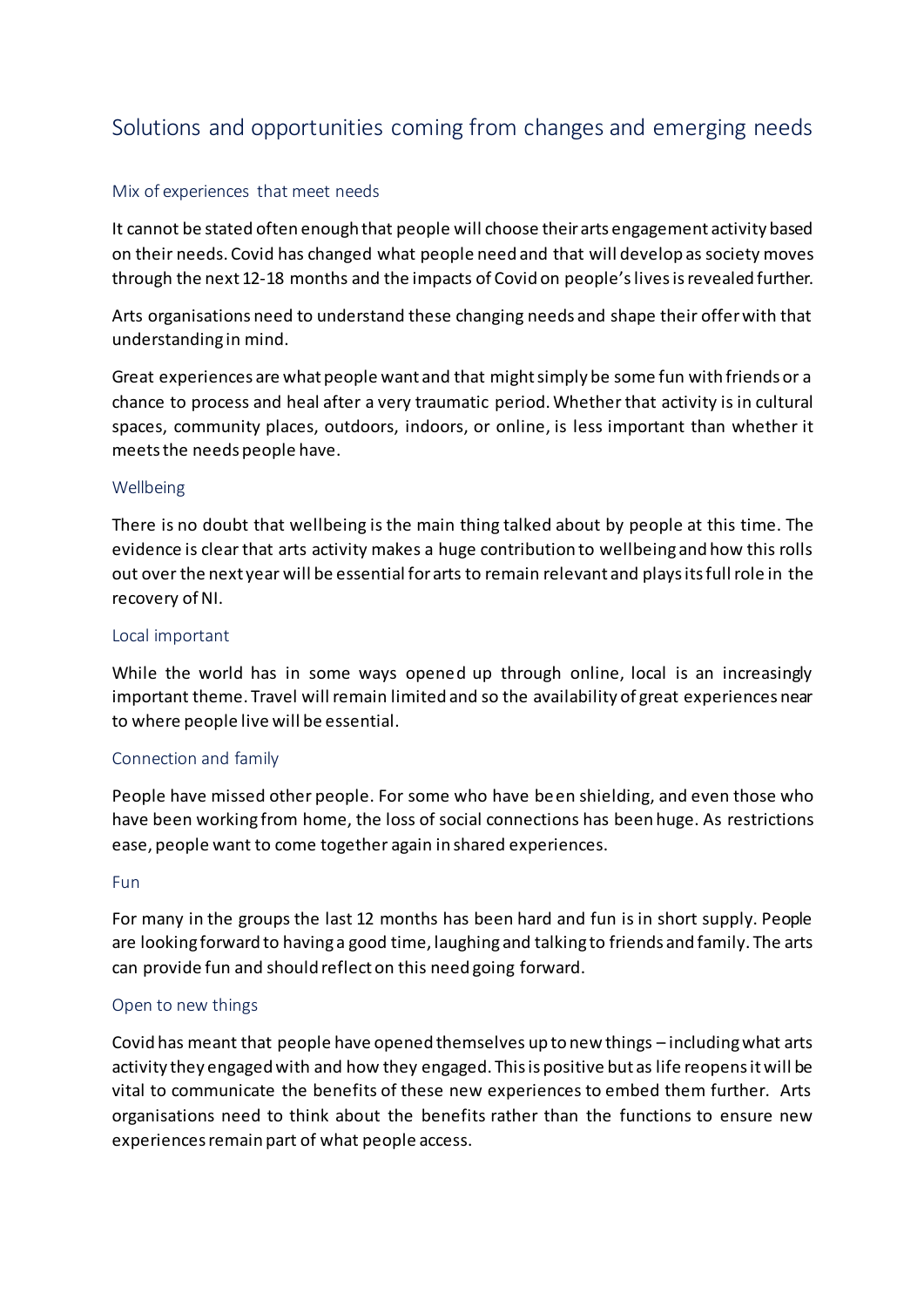# Solutions and opportunities coming from changes and emerging needs

#### Mix of experiences that meet needs

It cannot be stated often enough that people will choose their arts engagement activity based on their needs. Covid has changed what people need and that will develop as society moves through the next 12-18 months and the impacts of Covid on people'slives is revealed further.

Arts organisations need to understand these changing needs and shape their offer with that understanding in mind.

Great experiences are what people want and that might simply be some fun with friends or a chance to process and heal after a very traumatic period. Whether that activity is in cultural spaces, community places, outdoors, indoors, or online, is less important than whether it meets the needs people have.

#### Wellbeing

There is no doubt that wellbeing is the main thing talked about by people at this time. The evidence is clear that arts activity makes a huge contribution to wellbeing and how this rolls out over the next year will be essential for arts to remain relevant and plays its full role in the recovery of NI.

#### Local important

While the world has in some ways opened up through online, local is an increasingly important theme. Travel will remain limited and so the availability of great experiences near to where people live will be essential.

#### Connection and family

People have missed other people. For some who have been shielding, and even those who have been working from home, the loss of social connections has been huge. As restrictions ease, people want to come together again in shared experiences.

#### Fun

For many in the groups the last 12 months has been hard and fun is in short supply. People are looking forward to having a good time, laughing and talking to friends and family. The arts can provide fun and should reflect on this need going forward.

#### Open to new things

Covid has meant that people have opened themselves up to new things – including what arts activity they engaged with and how they engaged. This is positive but as life reopens it will be vital to communicate the benefits of these new experiences to embed them further. Arts organisations need to think about the benefits rather than the functions to ensure new experiences remain part of what people access.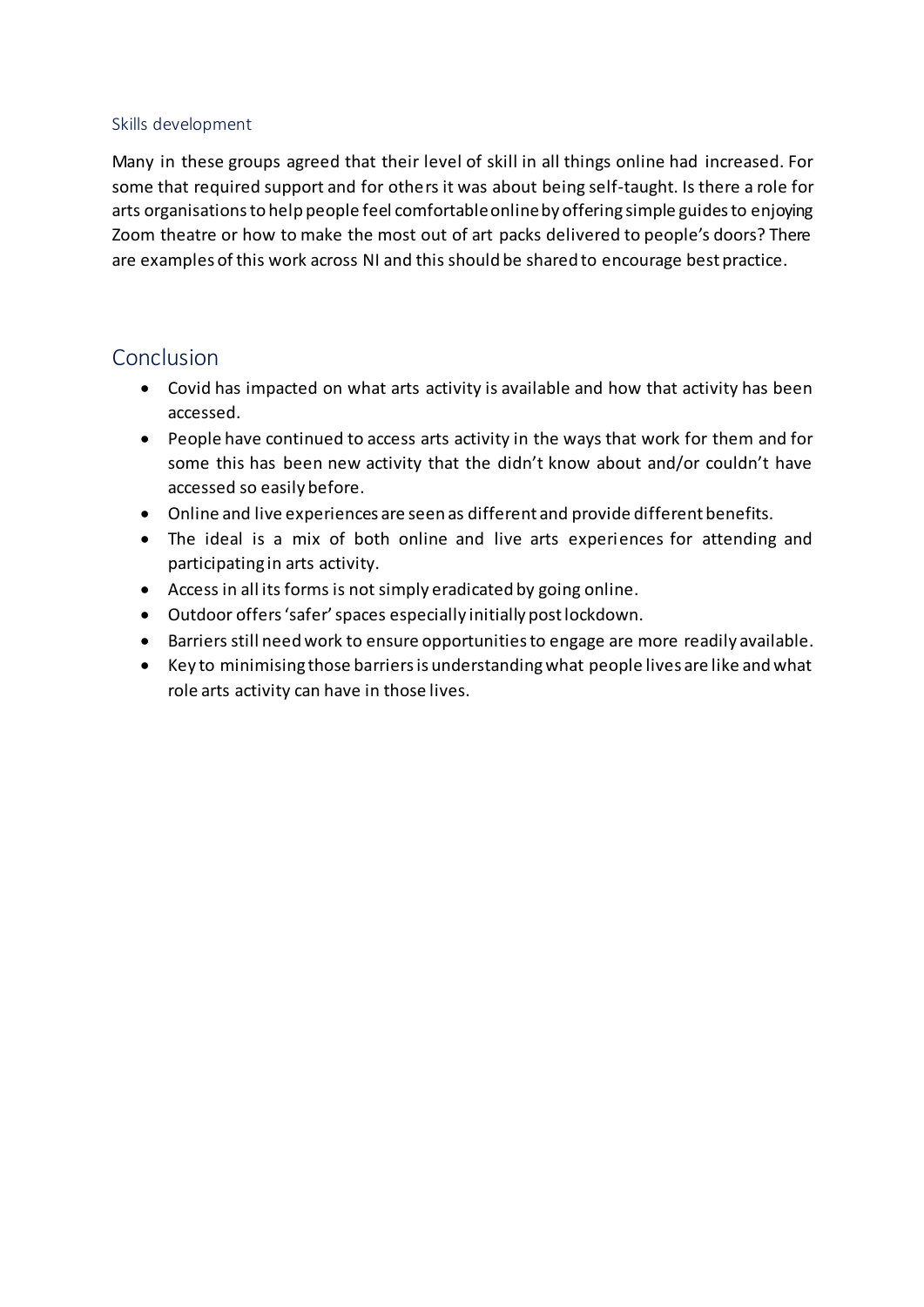#### Skills development

Many in these groups agreed that their level of skill in all things online had increased. For some that required support and for others it was about being self-taught. Is there a role for arts organisationsto help people feel comfortable online by offering simple guides to enjoying Zoom theatre or how to make the most out of art packs delivered to people's doors? There are examples of this work across NI and this should be shared to encourage best practice.

## Conclusion

- Covid has impacted on what arts activity is available and how that activity has been accessed.
- People have continued to access arts activity in the ways that work for them and for some this has been new activity that the didn't know about and/or couldn't have accessed so easily before.
- Online and live experiences are seen as different and provide different benefits.
- The ideal is a mix of both online and live arts experiences for attending and participating in arts activity.
- Access in all its forms is not simply eradicated by going online.
- Outdoor offers 'safer' spaces especially initially post lockdown.
- Barriers still need work to ensure opportunities to engage are more readily available.
- Key to minimising those barriersis understanding what people lives are like and what role arts activity can have in those lives.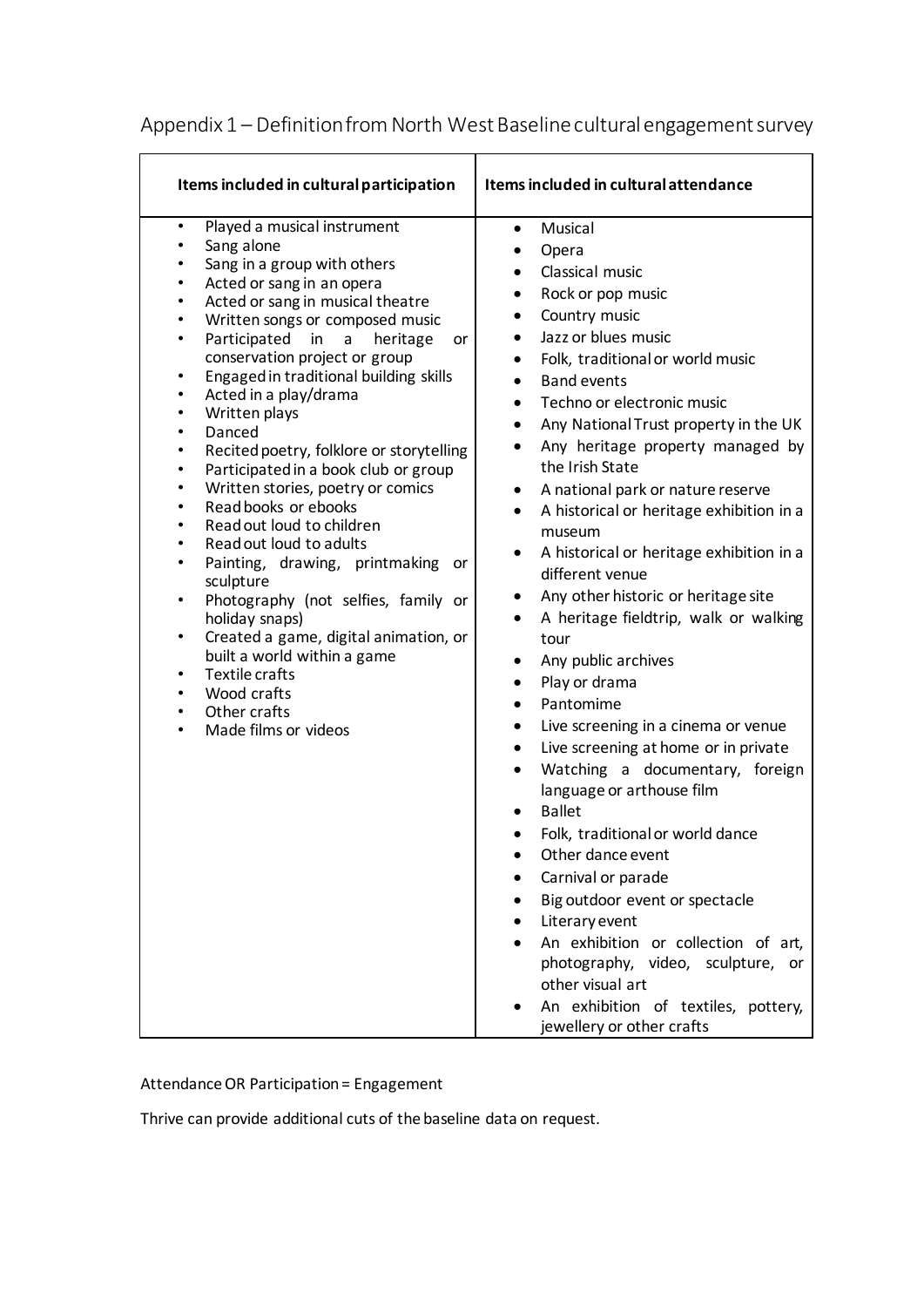| Items included in cultural participation                                                                                                                                                                                                                                                                                                                                                                                                                                                                                                                                                                                                                                                                                                                                                                                                                                                                                                                                                                                                                                 | Items included in cultural attendance                                                                                                                                                                                                                                                                                                                                                                                                                                                                                                                                                                                                                                                                                                                                                                                                                                                                                                                                                                                                                                                                                                                                                                                                                              |
|--------------------------------------------------------------------------------------------------------------------------------------------------------------------------------------------------------------------------------------------------------------------------------------------------------------------------------------------------------------------------------------------------------------------------------------------------------------------------------------------------------------------------------------------------------------------------------------------------------------------------------------------------------------------------------------------------------------------------------------------------------------------------------------------------------------------------------------------------------------------------------------------------------------------------------------------------------------------------------------------------------------------------------------------------------------------------|--------------------------------------------------------------------------------------------------------------------------------------------------------------------------------------------------------------------------------------------------------------------------------------------------------------------------------------------------------------------------------------------------------------------------------------------------------------------------------------------------------------------------------------------------------------------------------------------------------------------------------------------------------------------------------------------------------------------------------------------------------------------------------------------------------------------------------------------------------------------------------------------------------------------------------------------------------------------------------------------------------------------------------------------------------------------------------------------------------------------------------------------------------------------------------------------------------------------------------------------------------------------|
| Played a musical instrument<br>$\bullet$<br>Sang alone<br>٠<br>Sang in a group with others<br>٠<br>Acted or sang in an opera<br>٠<br>Acted or sang in musical theatre<br>٠<br>Written songs or composed music<br>$\bullet$<br>Participated<br>in<br>heritage<br>a<br>$\bullet$<br>or<br>conservation project or group<br>Engaged in traditional building skills<br>$\bullet$<br>Acted in a play/drama<br>٠<br>Written plays<br>$\bullet$<br>Danced<br>$\bullet$<br>Recited poetry, folklore or storytelling<br>٠<br>Participated in a book club or group<br>٠<br>Written stories, poetry or comics<br>$\bullet$<br>Read books or ebooks<br>$\bullet$<br>Read out loud to children<br>$\bullet$<br>Read out loud to adults<br>$\bullet$<br>Painting, drawing, printmaking<br>$\bullet$<br>or<br>sculpture<br>Photography (not selfies, family or<br>٠<br>holiday snaps)<br>Created a game, digital animation, or<br>٠<br>built a world within a game<br>Textile crafts<br>٠<br>Wood crafts<br>$\bullet$<br>Other crafts<br>$\bullet$<br>Made films or videos<br>$\bullet$ | Musical<br>$\bullet$<br>Opera<br>٠<br>Classical music<br>Rock or pop music<br>$\bullet$<br>Country music<br>$\bullet$<br>Jazz or blues music<br>Folk, traditional or world music<br>٠<br><b>Band events</b><br>$\bullet$<br>Techno or electronic music<br>$\bullet$<br>Any National Trust property in the UK<br>٠<br>Any heritage property managed by<br>$\bullet$<br>the Irish State<br>A national park or nature reserve<br>٠<br>A historical or heritage exhibition in a<br>$\bullet$<br>museum<br>A historical or heritage exhibition in a<br>٠<br>different venue<br>Any other historic or heritage site<br>٠<br>A heritage fieldtrip, walk or walking<br>٠<br>tour<br>Any public archives<br>$\bullet$<br>Play or drama<br>٠<br>Pantomime<br>$\bullet$<br>Live screening in a cinema or venue<br>$\bullet$<br>Live screening at home or in private<br>٠<br>Watching a documentary, foreign<br>$\bullet$<br>language or arthouse film<br><b>Ballet</b><br>Folk, traditional or world dance<br>Other dance event<br>Carnival or parade<br>Big outdoor event or spectacle<br>Literary event<br>An exhibition or collection of art,<br>photography, video, sculpture, or<br>other visual art<br>An exhibition of textiles, pottery,<br>jewellery or other crafts |

# Appendix 1 – Definition from North West Baseline cultural engagement survey

Attendance OR Participation = Engagement

Thrive can provide additional cuts of the baseline data on request.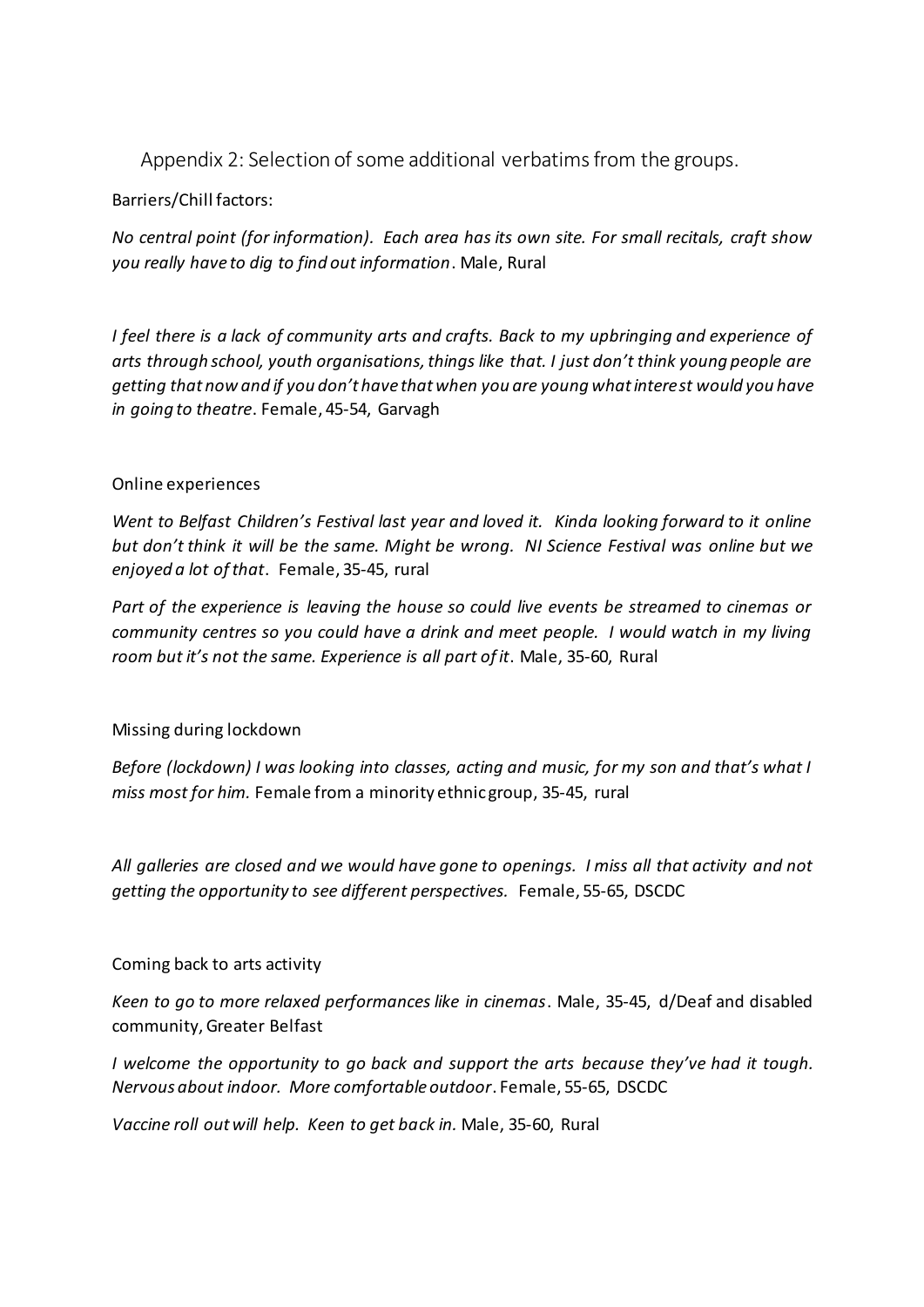Appendix 2: Selection of some additional verbatims from the groups.

#### Barriers/Chill factors:

*No central point (for information). Each area has its own site. For small recitals, craft show you really have to dig to find out information*. Male, Rural

*I feel there is a lack of community arts and crafts. Back to my upbringing and experience of arts through school, youth organisations, things like that. I just don't think young people are getting that now and if you don't have that when you are young what interest would you have in going to theatre*. Female, 45-54, Garvagh

#### Online experiences

*Went to Belfast Children's Festival last year and loved it. Kinda looking forward to it online but don't think it will be the same. Might be wrong. NI Science Festival was online but we enjoyed a lot of that*. Female, 35-45, rural

*Part of the experience is leaving the house so could live events be streamed to cinemas or community centres so you could have a drink and meet people. I would watch in my living room but it's not the same. Experience is all part of it*. Male, 35-60, Rural

#### Missing during lockdown

*Before (lockdown) I was looking into classes, acting and music, for my son and that's what I miss most for him.* Female from a minority ethnic group, 35-45, rural

*All galleries are closed and we would have gone to openings. I miss all that activity and not getting the opportunity to see different perspectives.* Female, 55-65, DSCDC

#### Coming back to arts activity

*Keen to go to more relaxed performances like in cinemas*. Male, 35-45, d/Deaf and disabled community, Greater Belfast

*I welcome the opportunity to go back and support the arts because they've had it tough. Nervous about indoor. More comfortable outdoor*. Female, 55-65, DSCDC

*Vaccine roll out will help. Keen to get back in.* Male, 35-60, Rural